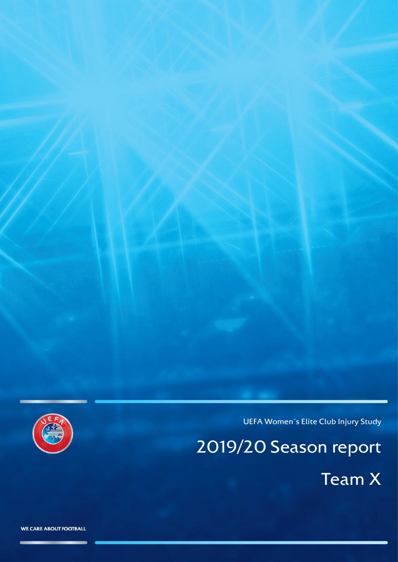

UEFA Women´s Elite Club Injury Study

2019/20 Season report

Team X

WE CARE ABOUT FOOTBALL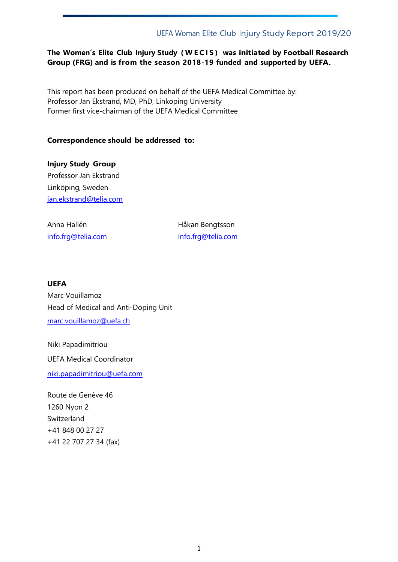#### **The Women´s Elite Club Injury Study ( W E C I S ) was initiated by Football Research Group (FRG) and is from the season 2018-19 funded and supported by UEFA.**

This report has been produced on behalf of the UEFA Medical Committee by: Professor Jan Ekstrand, MD, PhD, Linkoping University Former first vice-chairman of the UEFA Medical Committee

#### **Correspondence should be addressed to:**

**Injury Study Group** Professor Jan Ekstrand Linköping, Sweden [jan.ekstrand@telia.com](mailto:jan.ekstrand@telia.com)

Anna Hallén **Håkan Bengtsson** 

[info.frg@telia.com](mailto:info.frg@telia.com) info.frg@telia.com

#### **UEFA**

Marc Vouillamoz Head of Medical and Anti-Doping Unit [marc.vouillamoz@uefa.ch](mailto:marc.vouillamoz@uefa.ch)

Niki Papadimitriou UEFA Medical Coordinator [niki.papadimitriou@uefa.com](mailto:niki.papadimitriou@uefa.com)

Route de Genève 46 1260 Nyon 2 Switzerland +41 848 00 27 27 +41 22 707 27 34 (fax)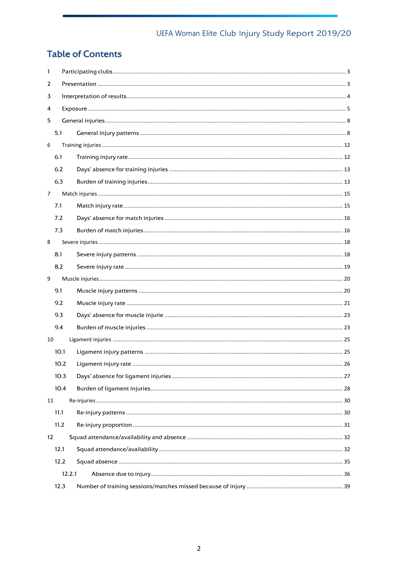# **Table of Contents**

| 1              |      |        |  |
|----------------|------|--------|--|
| 2              |      |        |  |
| 3              |      |        |  |
| 4              |      |        |  |
| 5              |      |        |  |
|                | 5.1  |        |  |
| 6              |      |        |  |
|                | 6.1  |        |  |
|                | 6.2  |        |  |
|                | 6.3  |        |  |
| $\overline{7}$ |      |        |  |
|                | 7.1  |        |  |
|                | 7.2  |        |  |
|                | 7.3  |        |  |
| 8              |      |        |  |
|                | 8.1  |        |  |
|                | 8.2  |        |  |
| 9              |      |        |  |
|                | 9.1  |        |  |
|                | 9.2  |        |  |
|                | 9.3  |        |  |
|                | 9.4  |        |  |
| 10             |      |        |  |
|                | 10.1 |        |  |
|                | 10.2 |        |  |
|                | 10.3 |        |  |
|                | 10.4 |        |  |
| 11             |      |        |  |
|                | 11.1 |        |  |
|                | 11.2 |        |  |
| 12             |      |        |  |
|                | 12.1 |        |  |
|                | 12.2 |        |  |
|                |      | 12.2.1 |  |
|                | 12.3 |        |  |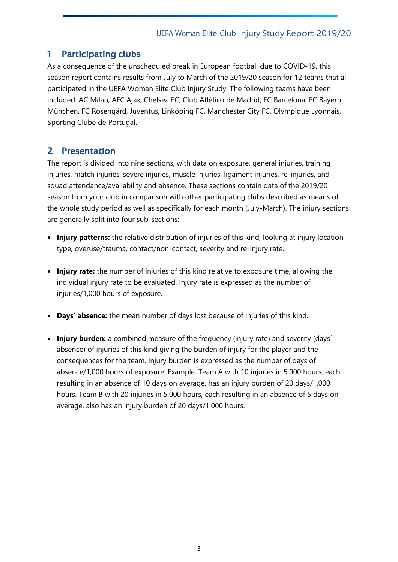# <span id="page-3-0"></span>1 Participating clubs

As a consequence of the unscheduled break in European football due to COVID-19, this season report contains results from July to March of the 2019/20 season for 12 teams that all participated in the UEFA Woman Elite Club Injury Study. The following teams have been included: AC Milan, AFC Ajax, Chelsea FC, Club Atlético de Madrid, FC Barcelona, FC Bayern München, FC Rosengård, Juventus, Linköping FC, Manchester City FC, Olympique Lyonnais, Sporting Clube de Portugal.

# <span id="page-3-1"></span>2 Presentation

The report is divided into nine sections, with data on exposure, general injuries, training injuries, match injuries, severe injuries, muscle injuries, ligament injuries, re-injuries, and squad attendance/availability and absence. These sections contain data of the 2019/20 season from your club in comparison with other participating clubs described as means of the whole study period as well as specifically for each month (July-March). The injury sections are generally split into four sub-sections:

- **Injury patterns:** the relative distribution of injuries of this kind, looking at injury location, type, overuse/trauma, contact/non-contact, severity and re-injury rate.
- **Injury rate:** the number of injuries of this kind relative to exposure time, allowing the individual injury rate to be evaluated. Injury rate is expressed as the number of injuries/1,000 hours of exposure.
- **Days' absence:** the mean number of days lost because of injuries of this kind.
- **Injury burden:** a combined measure of the frequency (injury rate) and severity (days' absence) of injuries of this kind giving the burden of injury for the player and the consequences for the team. Injury burden is expressed as the number of days of absence/1,000 hours of exposure. Example: Team A with 10 injuries in 5,000 hours, each resulting in an absence of 10 days on average, has an injury burden of 20 days/1,000 hours. Team B with 20 injuries in 5,000 hours, each resulting in an absence of 5 days on average, also has an injury burden of 20 days/1,000 hours.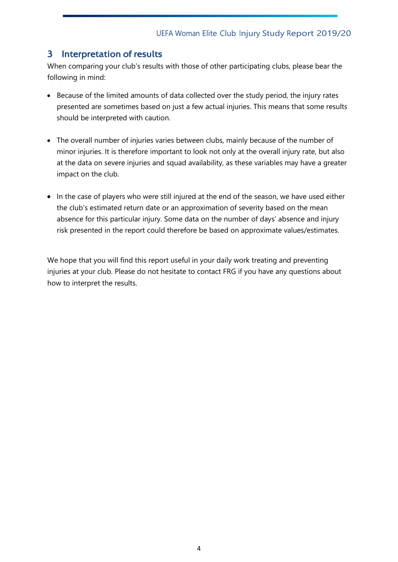# <span id="page-4-0"></span>3 Interpretation of results

When comparing your club's results with those of other participating clubs, please bear the following in mind:

- Because of the limited amounts of data collected over the study period, the injury rates presented are sometimes based on just a few actual injuries. This means that some results should be interpreted with caution.
- The overall number of injuries varies between clubs, mainly because of the number of minor injuries. It is therefore important to look not only at the overall injury rate, but also at the data on severe injuries and squad availability, as these variables may have a greater impact on the club.
- In the case of players who were still injured at the end of the season, we have used either the club's estimated return date or an approximation of severity based on the mean absence for this particular injury. Some data on the number of days' absence and injury risk presented in the report could therefore be based on approximate values/estimates.

We hope that you will find this report useful in your daily work treating and preventing injuries at your club. Please do not hesitate to contact FRG if you have any questions about how to interpret the results.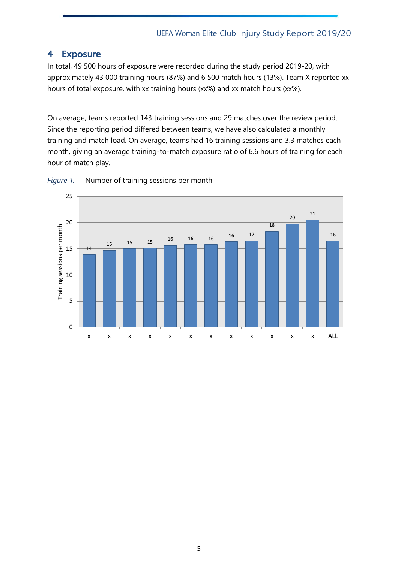# <span id="page-5-0"></span>4 Exposure

In total, 49 500 hours of exposure were recorded during the study period 2019-20, with approximately 43 000 training hours (87%) and 6 500 match hours (13%). Team X reported xx hours of total exposure, with xx training hours (xx%) and xx match hours (xx%).

On average, teams reported 143 training sessions and 29 matches over the review period. Since the reporting period differed between teams, we have also calculated a monthly training and match load. On average, teams had 16 training sessions and 3.3 matches each month, giving an average training-to-match exposure ratio of 6.6 hours of training for each hour of match play.



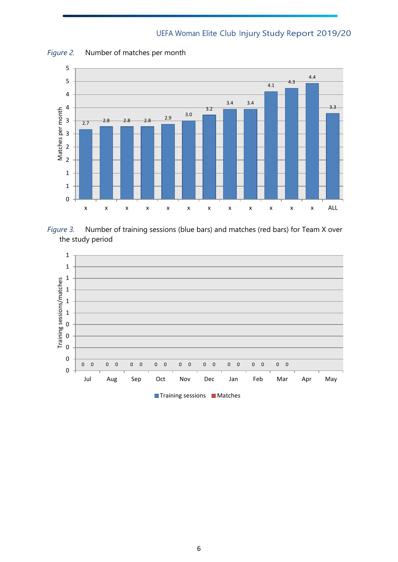

*Figure 2.* Number of matches per month





**Training sessions Matches**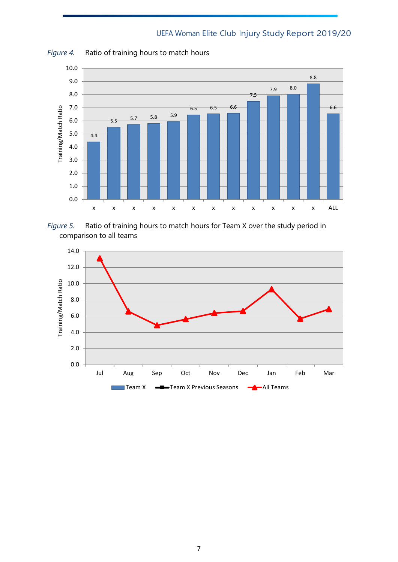

*Figure 4.* Ratio of training hours to match hours



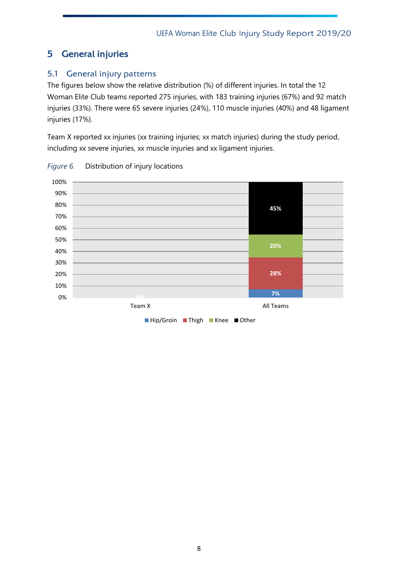# <span id="page-8-0"></span>5 General injuries

# <span id="page-8-1"></span>5.1 General injury patterns

The figures below show the relative distribution (%) of different injuries. In total the 12 Woman Elite Club teams reported 275 injuries, with 183 training injuries (67%) and 92 match injuries (33%). There were 65 severe injuries (24%), 110 muscle injuries (40%) and 48 ligament injuries (17%).

Team X reported xx injuries (xx training injuries; xx match injuries) during the study period, including xx severe injuries, xx muscle injuries and xx ligament injuries.



*Figure 6.* Distribution of injury locations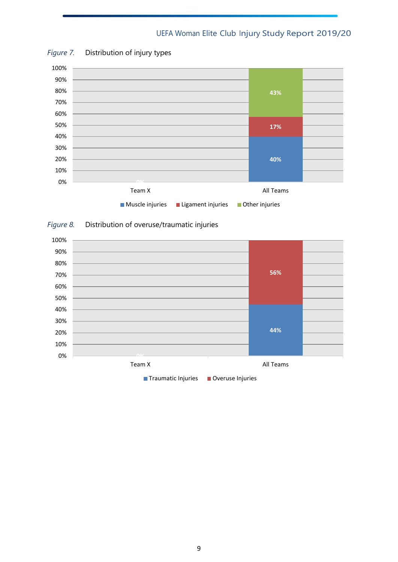

#### *Figure 7.* Distribution of injury types

# *Figure 8.* Distribution of overuse/traumatic injuries

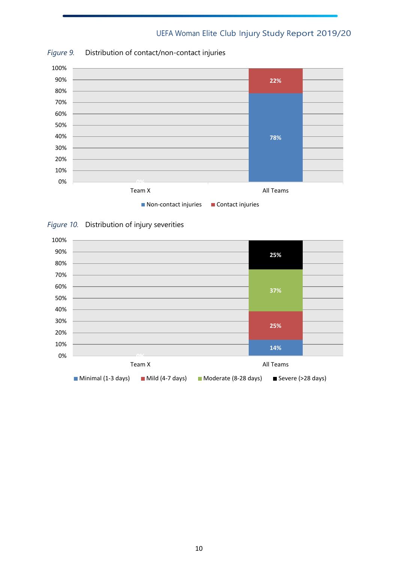

*Figure 9.* Distribution of contact/non-contact injuries



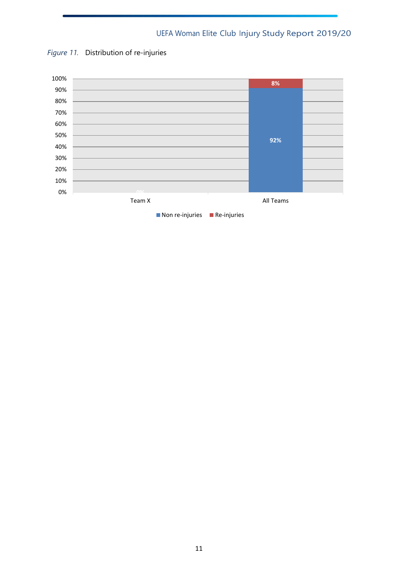

*Figure 11.* Distribution of re-injuries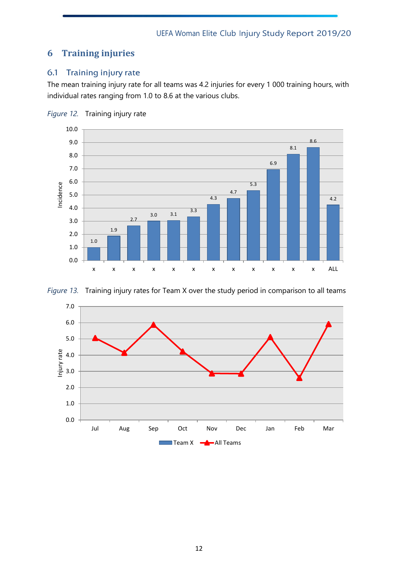# <span id="page-12-0"></span>**6 Training injuries**

# <span id="page-12-1"></span>6.1 Training injury rate

The mean training injury rate for all teams was 4.2 injuries for every 1 000 training hours, with individual rates ranging from 1.0 to 8.6 at the various clubs.







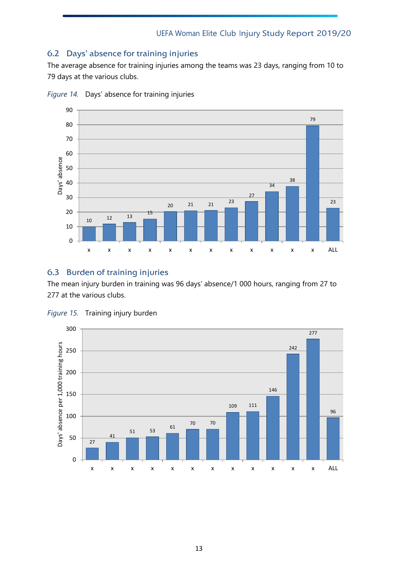## <span id="page-13-0"></span>6.2 Days' absence for training injuries

The average absence for training injuries among the teams was 23 days, ranging from 10 to days at the various clubs.



*Figure 14.* Days' absence for training injuries

#### <span id="page-13-1"></span>6.3 Burden of training injuries

The mean injury burden in training was 96 days' absence/1 000 hours, ranging from 27 to at the various clubs.



*Figure 15.* Training injury burden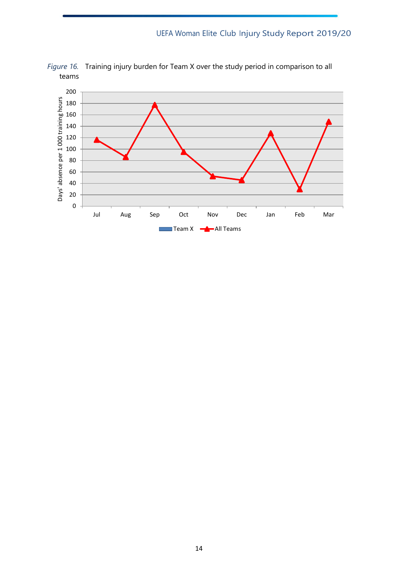

*Figure 16.* Training injury burden for Team X over the study period in comparison to all teams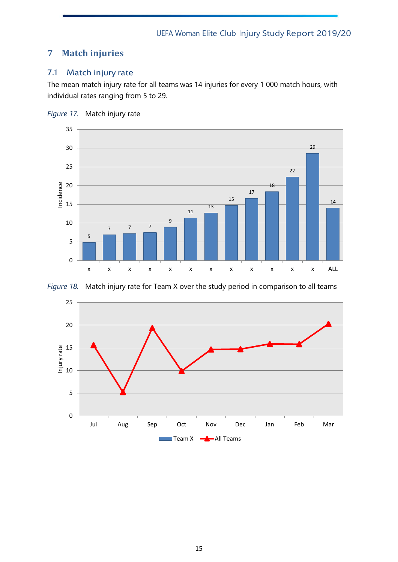# <span id="page-15-0"></span>**Match injuries**

# <span id="page-15-1"></span>7.1 Match injury rate

The mean match injury rate for all teams was 14 injuries for every 1 000 match hours, with individual rates ranging from 5 to 29.







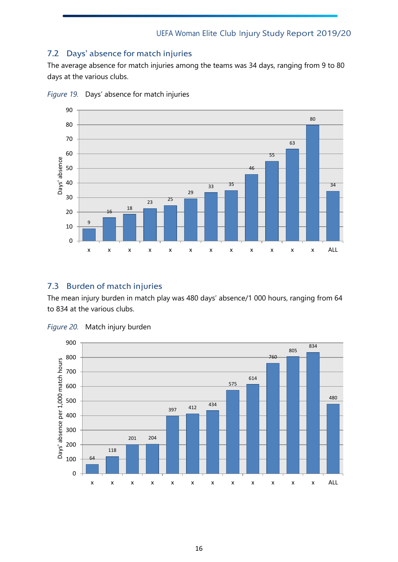## <span id="page-16-0"></span>7.2 Days' absence for match injuries

The average absence for match injuries among the teams was 34 days, ranging from 9 to 80 days at the various clubs.



*Figure 19.* Days' absence for match injuries

## <span id="page-16-1"></span>7.3 Burden of match injuries

The mean injury burden in match play was 480 days' absence/1 000 hours, ranging from 64 to 834 at the various clubs.



*Figure 20.* Match injury burden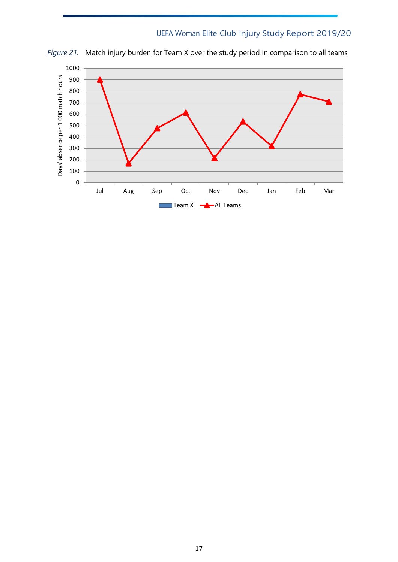

*Figure 21.* Match injury burden for Team X over the study period in comparison to all teams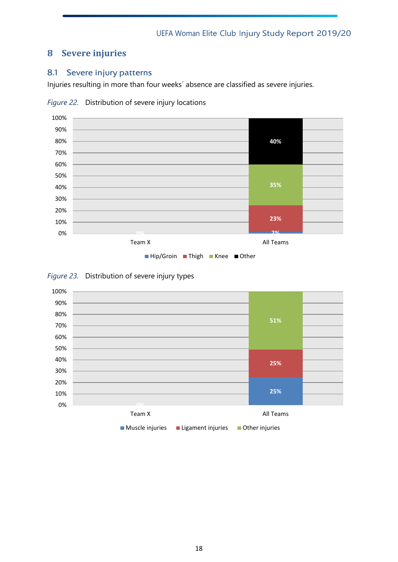# <span id="page-18-0"></span>**8 Severe injuries**

#### <span id="page-18-1"></span>8.1 Severe injury patterns

Injuries resulting in more than four weeks´ absence are classified as severe injuries.



*Figure 22.* Distribution of severe injury locations



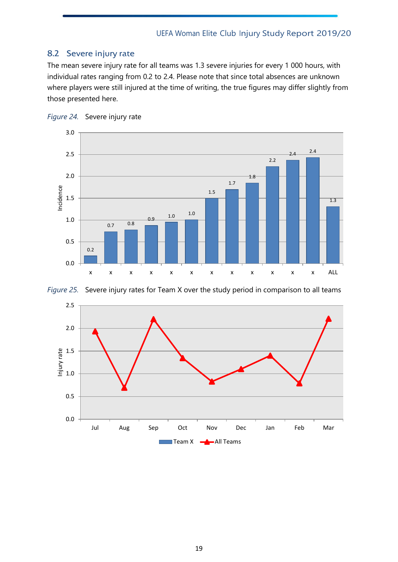#### <span id="page-19-0"></span>8.2 Severe injury rate

The mean severe injury rate for all teams was 1.3 severe injuries for every 1 000 hours, with individual rates ranging from 0.2 to 2.4. Please note that since total absences are unknown where players were still injured at the time of writing, the true figures may differ slightly from those presented here.







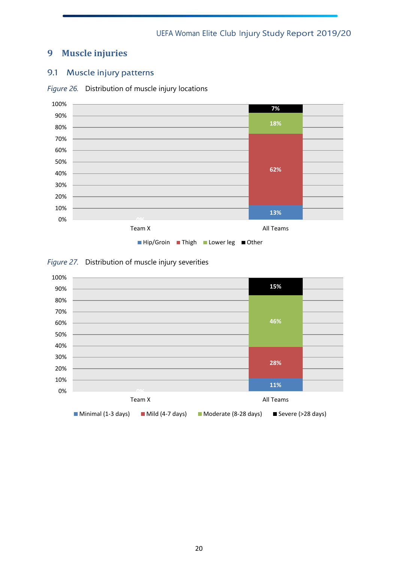# <span id="page-20-0"></span>**9 Muscle injuries**

## <span id="page-20-1"></span>9.1 Muscle injury patterns



*Figure 26.* Distribution of muscle injury locations

#### *Figure 27.* Distribution of muscle injury severities

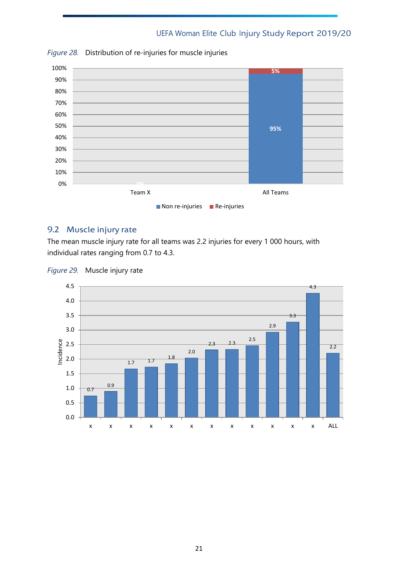

*Figure 28.* Distribution of re-injuries for muscle injuries

#### <span id="page-21-0"></span>9.2 Muscle injury rate

The mean muscle injury rate for all teams was 2.2 injuries for every 1 000 hours, with individual rates ranging from 0.7 to 4.3.



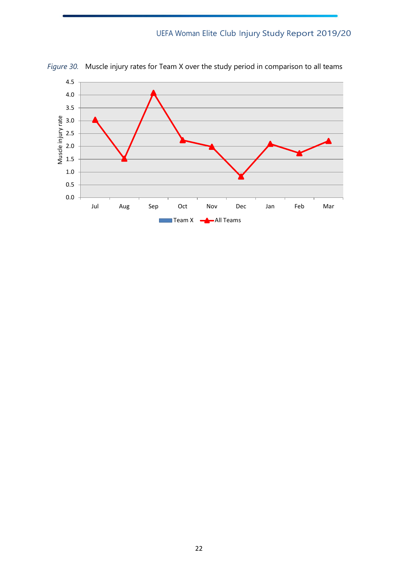

*Figure 30.* Muscle injury rates for Team X over the study period in comparison to all teams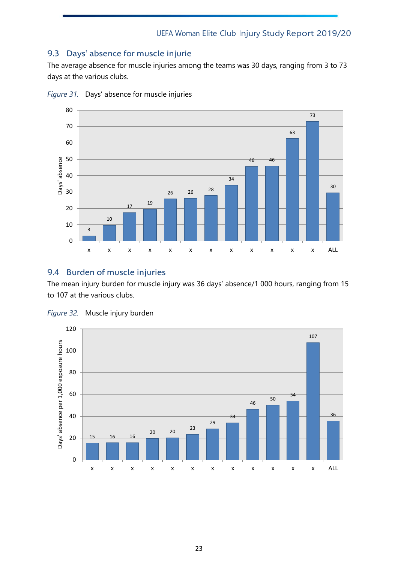### <span id="page-23-0"></span>9.3 Days' absence for muscle injurie

The average absence for muscle injuries among the teams was 30 days, ranging from 3 to 73 days at the various clubs.



*Figure 31.* Days' absence for muscle injuries

# <span id="page-23-1"></span>9.4 Burden of muscle injuries

The mean injury burden for muscle injury was 36 days' absence/1 000 hours, ranging from 15 to 107 at the various clubs.



*Figure 32.* Muscle injury burden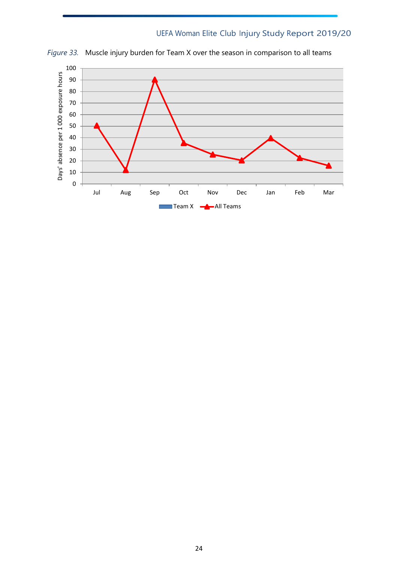

*Figure 33.* Muscle injury burden for Team X over the season in comparison to all teams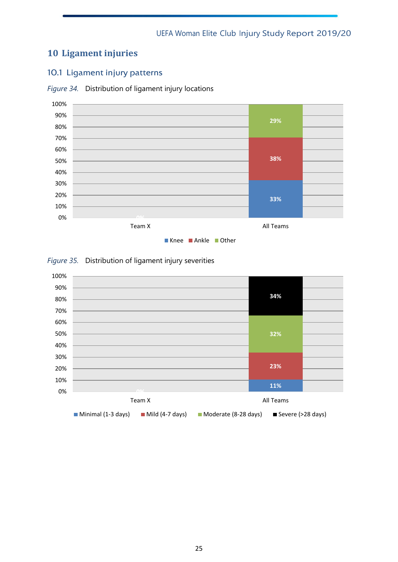# <span id="page-25-0"></span>**10 Ligament injuries**

## <span id="page-25-1"></span>10.1 Ligament injury patterns





#### *Figure 35.* Distribution of ligament injury severities

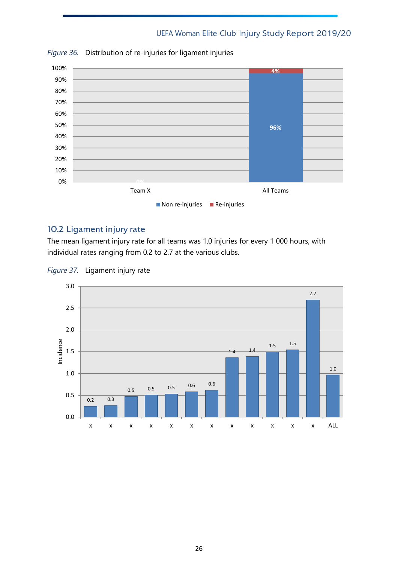

*Figure 36.* Distribution of re-injuries for ligament injuries

#### <span id="page-26-0"></span>10.2 Ligament injury rate

The mean ligament injury rate for all teams was 1.0 injuries for every 1 000 hours, with individual rates ranging from 0.2 to 2.7 at the various clubs.



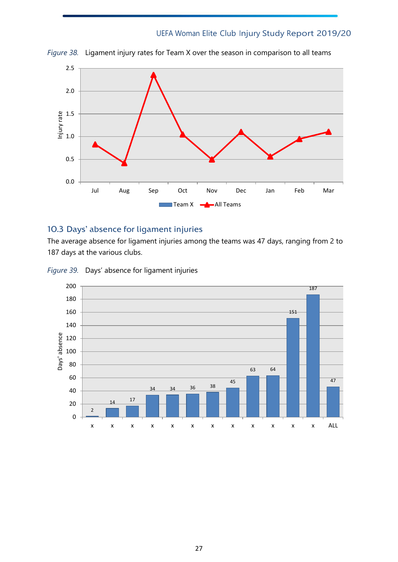

*Figure 38.* Ligament injury rates for Team X over the season in comparison to all teams

#### <span id="page-27-0"></span>10.3 Days' absence for ligament injuries

The average absence for ligament injuries among the teams was 47 days, ranging from 2 to 187 days at the various clubs.

*Figure 39.* Days' absence for ligament injuries

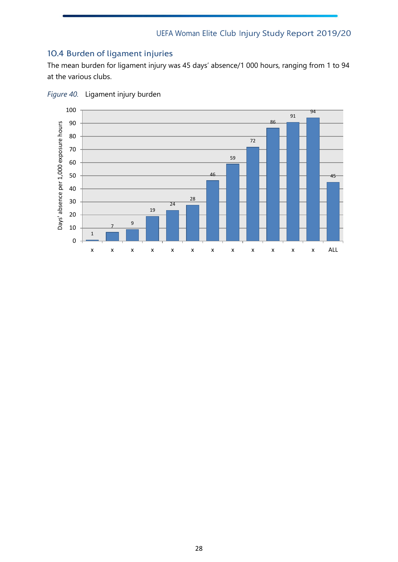# <span id="page-28-0"></span>10.4 Burden of ligament injuries

The mean burden for ligament injury was 45 days' absence/1 000 hours, ranging from 1 to 94 at the various clubs.



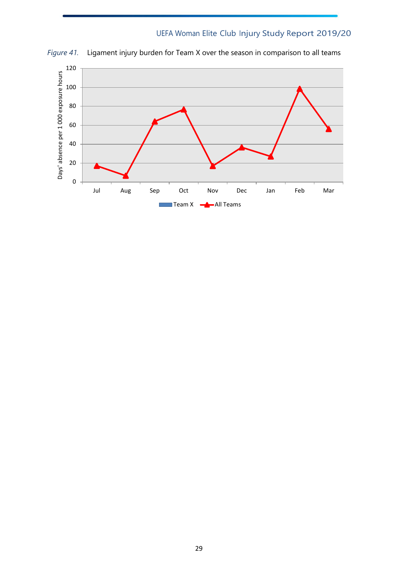

*Figure 41.* Ligament injury burden for Team X over the season in comparison to all teams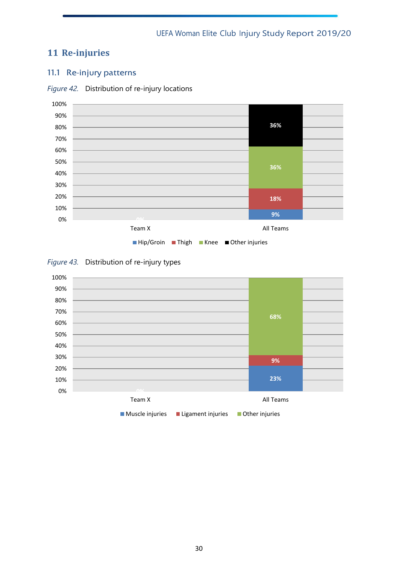# <span id="page-30-0"></span>**11 Re-injuries**

# <span id="page-30-1"></span>11.1 Re-injury patterns





#### *Figure 43.* Distribution of re-injury types

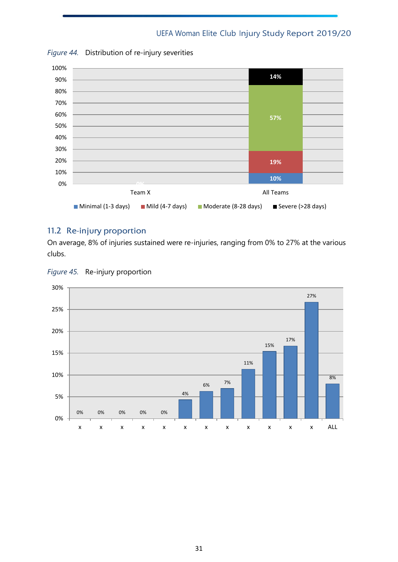

*Figure 44.* Distribution of re-injury severities

#### <span id="page-31-0"></span>11.2 Re-injury proportion

On average, 8% of injuries sustained were re-injuries, ranging from 0% to 27% at the various clubs.



*Figure 45.* Re-injury proportion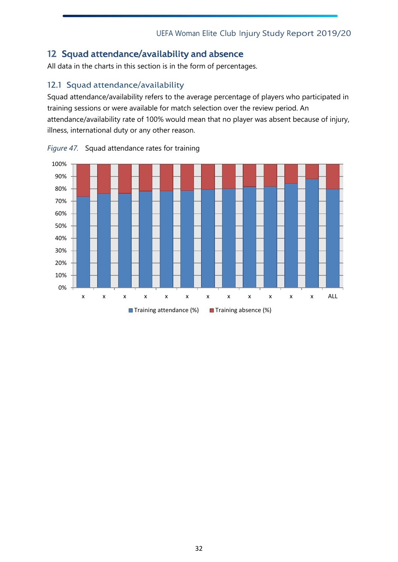# <span id="page-32-0"></span>12 Squad attendance/availability and absence

All data in the charts in this section is in the form of percentages.

# <span id="page-32-1"></span>12.1 Squad attendance/availability

Squad attendance/availability refers to the average percentage of players who participated in training sessions or were available for match selection over the review period. An attendance/availability rate of 100% would mean that no player was absent because of injury, illness, international duty or any other reason.



*Figure 47.* Squad attendance rates for training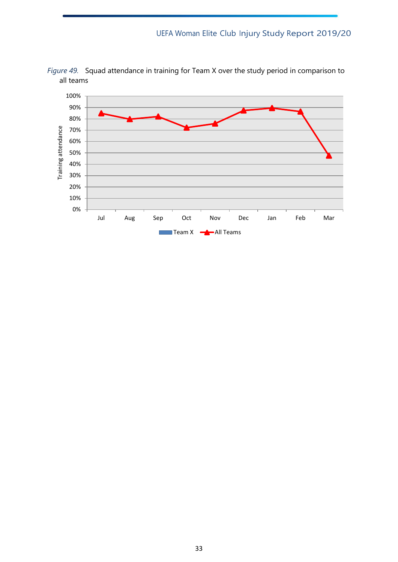

*Figure 49.* Squad attendance in training for Team X over the study period in comparison to all teams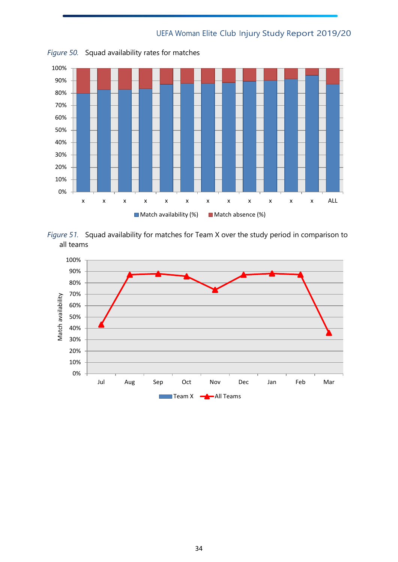

*Figure 50.* Squad availability rates for matches



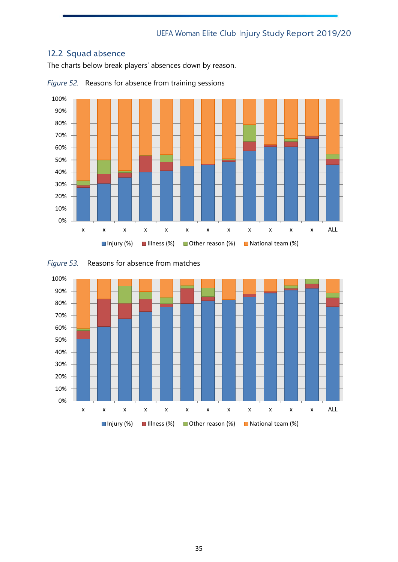# <span id="page-35-0"></span>12.2 Squad absence

The charts below break players' absences down by reason.



*Figure 52.* Reasons for absence from training sessions



*Figure 53.* Reasons for absence from matches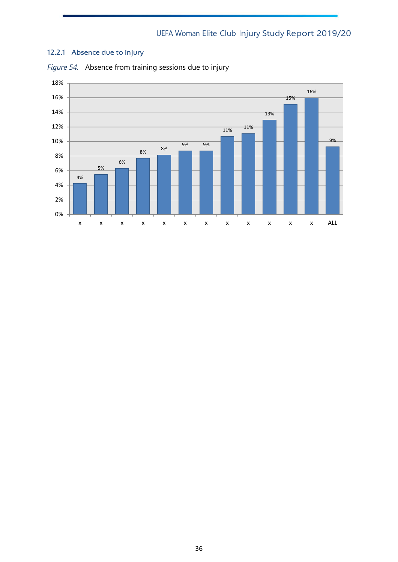#### <span id="page-36-0"></span>12.2.1 Absence due to injury



*Figure 54.* Absence from training sessions due to injury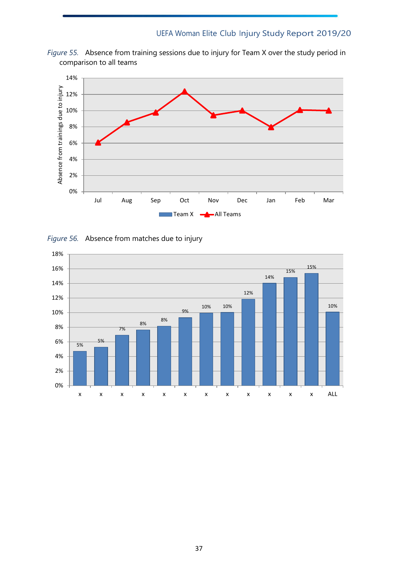



*Figure 56.* Absence from matches due to injury

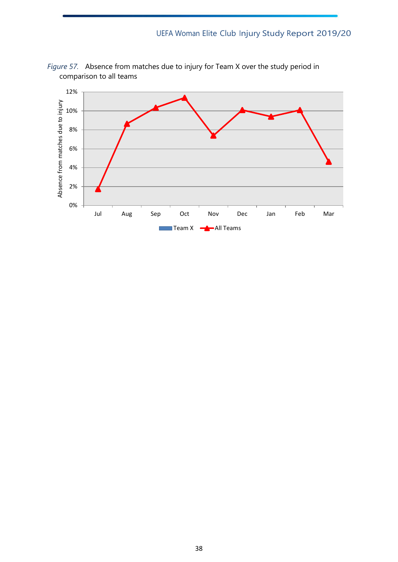

*Figure 57.* Absence from matches due to injury for Team X over the study period in comparison to all teams